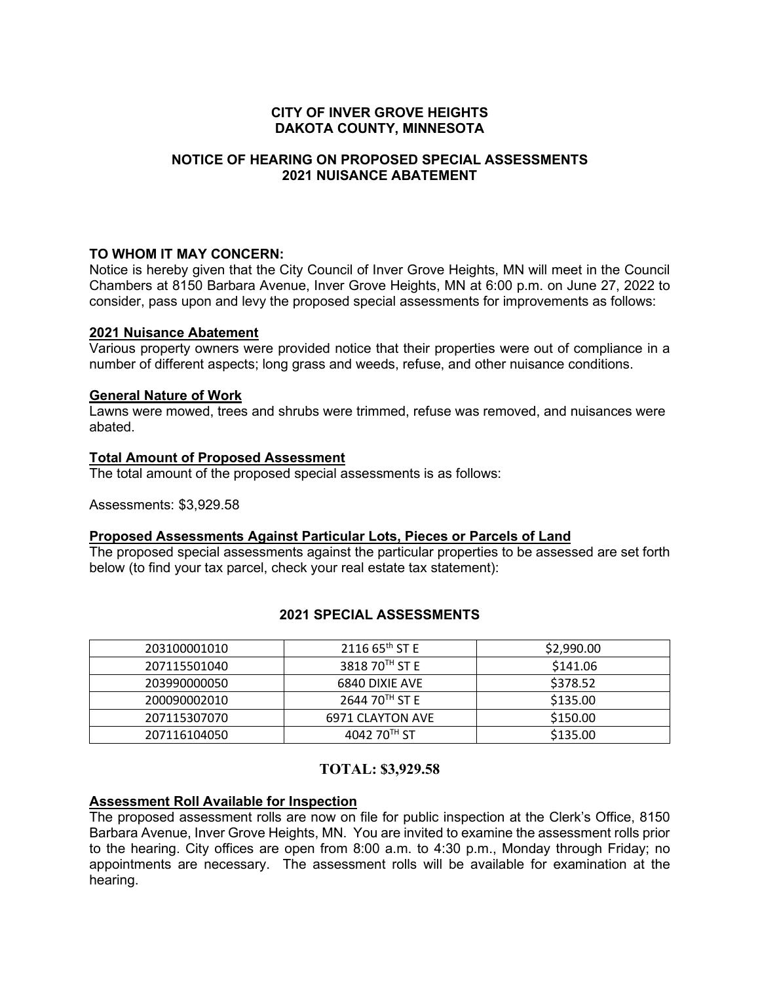## **CITY OF INVER GROVE HEIGHTS DAKOTA COUNTY, MINNESOTA**

# **NOTICE OF HEARING ON PROPOSED SPECIAL ASSESSMENTS 2021 NUISANCE ABATEMENT**

### **TO WHOM IT MAY CONCERN:**

Notice is hereby given that the City Council of Inver Grove Heights, MN will meet in the Council Chambers at 8150 Barbara Avenue, Inver Grove Heights, MN at 6:00 p.m. on June 27, 2022 to consider, pass upon and levy the proposed special assessments for improvements as follows:

# **2021 Nuisance Abatement**

Various property owners were provided notice that their properties were out of compliance in a number of different aspects; long grass and weeds, refuse, and other nuisance conditions.

#### **General Nature of Work**

Lawns were mowed, trees and shrubs were trimmed, refuse was removed, and nuisances were abated.

#### **Total Amount of Proposed Assessment**

The total amount of the proposed special assessments is as follows:

Assessments: \$3,929.58

#### **Proposed Assessments Against Particular Lots, Pieces or Parcels of Land**

The proposed special assessments against the particular properties to be assessed are set forth below (to find your tax parcel, check your real estate tax statement):

## **2021 SPECIAL ASSESSMENTS**

| 203100001010 | $211665^{\text{th}}$ ST E  | \$2,990.00 |
|--------------|----------------------------|------------|
| 207115501040 | 3818 70TH ST E             | \$141.06   |
| 203990000050 | 6840 DIXIE AVE             | \$378.52   |
| 200090002010 | 2644 70 <sup>TH</sup> ST E | \$135.00   |
| 207115307070 | 6971 CLAYTON AVE           | \$150.00   |
| 207116104050 | 4042 70 <sup>TH</sup> ST   | \$135.00   |

# **TOTAL: \$3,929.58**

#### **Assessment Roll Available for Inspection**

The proposed assessment rolls are now on file for public inspection at the Clerk's Office, 8150 Barbara Avenue, Inver Grove Heights, MN. You are invited to examine the assessment rolls prior to the hearing. City offices are open from 8:00 a.m. to 4:30 p.m., Monday through Friday; no appointments are necessary. The assessment rolls will be available for examination at the hearing.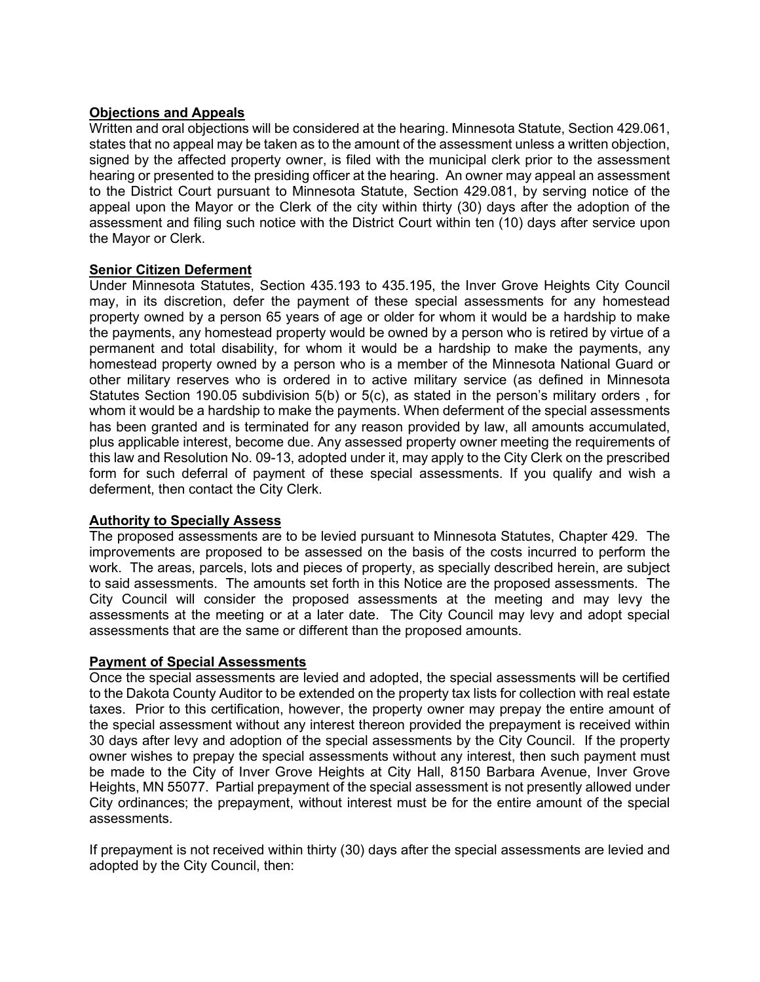## **Objections and Appeals**

Written and oral objections will be considered at the hearing. Minnesota Statute, Section 429.061, states that no appeal may be taken as to the amount of the assessment unless a written objection, signed by the affected property owner, is filed with the municipal clerk prior to the assessment hearing or presented to the presiding officer at the hearing. An owner may appeal an assessment to the District Court pursuant to Minnesota Statute, Section 429.081, by serving notice of the appeal upon the Mayor or the Clerk of the city within thirty (30) days after the adoption of the assessment and filing such notice with the District Court within ten (10) days after service upon the Mayor or Clerk.

### **Senior Citizen Deferment**

Under Minnesota Statutes, Section 435.193 to 435.195, the Inver Grove Heights City Council may, in its discretion, defer the payment of these special assessments for any homestead property owned by a person 65 years of age or older for whom it would be a hardship to make the payments, any homestead property would be owned by a person who is retired by virtue of a permanent and total disability, for whom it would be a hardship to make the payments, any homestead property owned by a person who is a member of the Minnesota National Guard or other military reserves who is ordered in to active military service (as defined in Minnesota Statutes Section 190.05 subdivision 5(b) or 5(c), as stated in the person's military orders , for whom it would be a hardship to make the payments. When deferment of the special assessments has been granted and is terminated for any reason provided by law, all amounts accumulated, plus applicable interest, become due. Any assessed property owner meeting the requirements of this law and Resolution No. 09-13, adopted under it, may apply to the City Clerk on the prescribed form for such deferral of payment of these special assessments. If you qualify and wish a deferment, then contact the City Clerk.

#### **Authority to Specially Assess**

The proposed assessments are to be levied pursuant to Minnesota Statutes, Chapter 429. The improvements are proposed to be assessed on the basis of the costs incurred to perform the work. The areas, parcels, lots and pieces of property, as specially described herein, are subject to said assessments. The amounts set forth in this Notice are the proposed assessments. The City Council will consider the proposed assessments at the meeting and may levy the assessments at the meeting or at a later date. The City Council may levy and adopt special assessments that are the same or different than the proposed amounts.

#### **Payment of Special Assessments**

Once the special assessments are levied and adopted, the special assessments will be certified to the Dakota County Auditor to be extended on the property tax lists for collection with real estate taxes. Prior to this certification, however, the property owner may prepay the entire amount of the special assessment without any interest thereon provided the prepayment is received within 30 days after levy and adoption of the special assessments by the City Council. If the property owner wishes to prepay the special assessments without any interest, then such payment must be made to the City of Inver Grove Heights at City Hall, 8150 Barbara Avenue, Inver Grove Heights, MN 55077. Partial prepayment of the special assessment is not presently allowed under City ordinances; the prepayment, without interest must be for the entire amount of the special assessments.

If prepayment is not received within thirty (30) days after the special assessments are levied and adopted by the City Council, then: